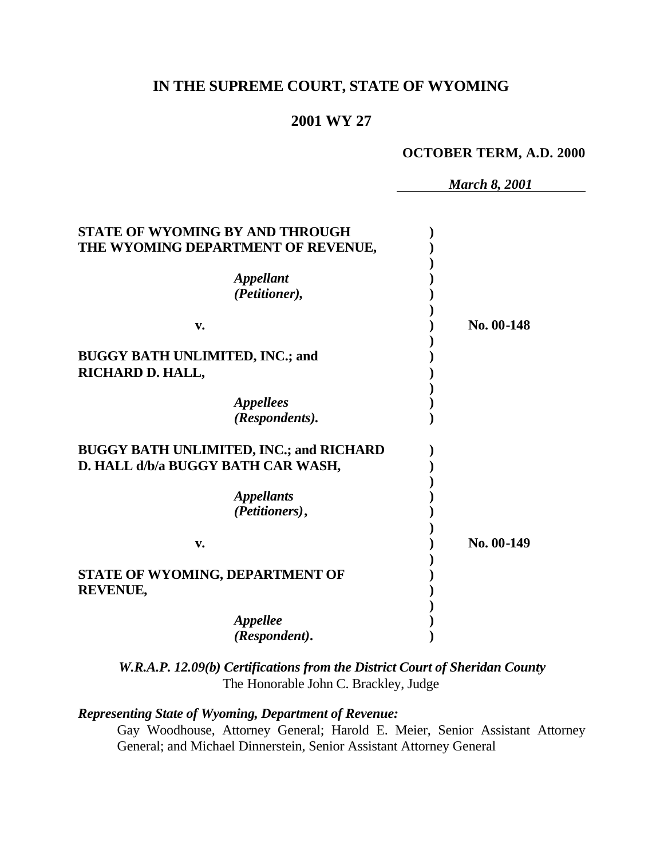# **IN THE SUPREME COURT, STATE OF WYOMING**

# **2001 WY 27**

#### **OCTOBER TERM, A.D. 2000**

*March 8, 2001*

| STATE OF WYOMING BY AND THROUGH<br>THE WYOMING DEPARTMENT OF REVENUE, |                |            |
|-----------------------------------------------------------------------|----------------|------------|
| <b>Appellant</b>                                                      |                |            |
|                                                                       | (Petitioner),  |            |
| v.                                                                    |                | No. 00-148 |
| <b>BUGGY BATH UNLIMITED, INC.; and</b>                                |                |            |
| RICHARD D. HALL,                                                      |                |            |
| <i><b>Appellees</b></i>                                               |                |            |
|                                                                       | (Respondents). |            |
| <b>BUGGY BATH UNLIMITED, INC.; and RICHARD</b>                        |                |            |
| D. HALL d/b/a BUGGY BATH CAR WASH,                                    |                |            |
| <i><b>Appellants</b></i>                                              |                |            |
|                                                                       | (Petitioners), |            |
| v.                                                                    |                | No. 00-149 |
| STATE OF WYOMING, DEPARTMENT OF                                       |                |            |
| <b>REVENUE,</b>                                                       |                |            |
| <i><b>Appellee</b></i>                                                |                |            |
|                                                                       | (Respondent).  |            |

*W.R.A.P. 12.09(b) Certifications from the District Court of Sheridan County* The Honorable John C. Brackley, Judge

#### *Representing State of Wyoming, Department of Revenue:*

Gay Woodhouse, Attorney General; Harold E. Meier, Senior Assistant Attorney General; and Michael Dinnerstein, Senior Assistant Attorney General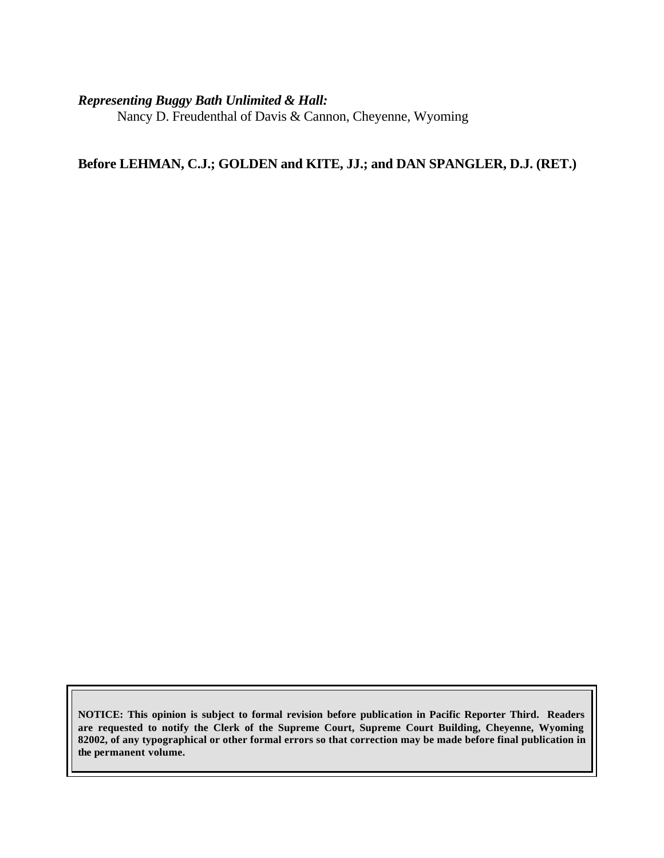#### *Representing Buggy Bath Unlimited & Hall:*

Nancy D. Freudenthal of Davis & Cannon, Cheyenne, Wyoming

# **Before LEHMAN, C.J.; GOLDEN and KITE, JJ.; and DAN SPANGLER, D.J. (RET.)**

**NOTICE: This opinion is subject to formal revision before publication in Pacific Reporter Third. Readers are requested to notify the Clerk of the Supreme Court, Supreme Court Building, Cheyenne, Wyoming 82002, of any typographical or other formal errors so that correction may be made before final publication in the permanent volume.**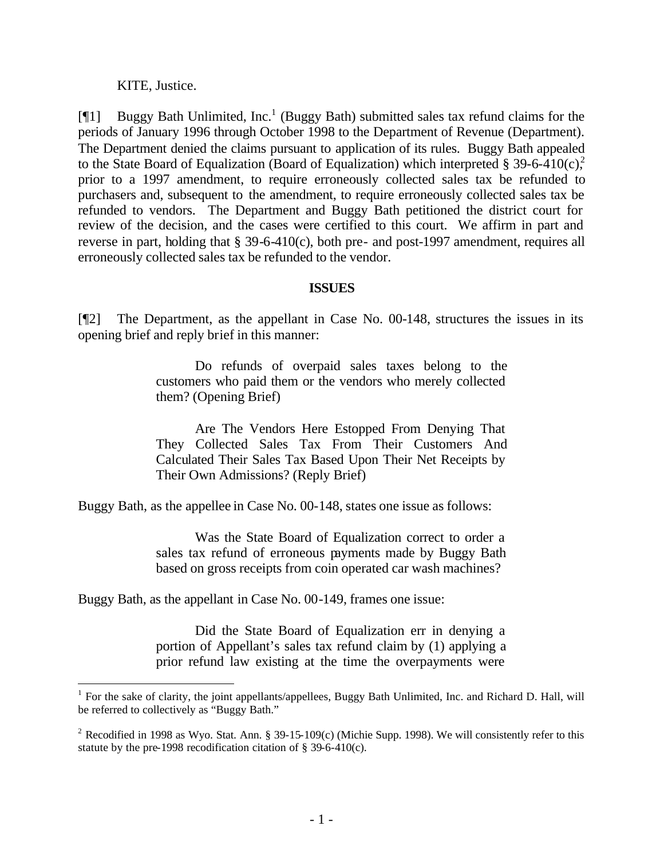KITE, Justice.

l

[ $[$ [1] Buggy Bath Unlimited, Inc.<sup>1</sup> (Buggy Bath) submitted sales tax refund claims for the periods of January 1996 through October 1998 to the Department of Revenue (Department). The Department denied the claims pursuant to application of its rules. Buggy Bath appealed to the State Board of Equalization (Board of Equalization) which interpreted § 39-6-410(c). prior to a 1997 amendment, to require erroneously collected sales tax be refunded to purchasers and, subsequent to the amendment, to require erroneously collected sales tax be refunded to vendors. The Department and Buggy Bath petitioned the district court for review of the decision, and the cases were certified to this court. We affirm in part and reverse in part, holding that § 39-6-410(c), both pre- and post-1997 amendment, requires all erroneously collected sales tax be refunded to the vendor.

#### **ISSUES**

[¶2] The Department, as the appellant in Case No. 00-148, structures the issues in its opening brief and reply brief in this manner:

> Do refunds of overpaid sales taxes belong to the customers who paid them or the vendors who merely collected them? (Opening Brief)

> Are The Vendors Here Estopped From Denying That They Collected Sales Tax From Their Customers And Calculated Their Sales Tax Based Upon Their Net Receipts by Their Own Admissions? (Reply Brief)

Buggy Bath, as the appellee in Case No. 00-148, states one issue as follows:

Was the State Board of Equalization correct to order a sales tax refund of erroneous payments made by Buggy Bath based on gross receipts from coin operated car wash machines?

Buggy Bath, as the appellant in Case No. 00-149, frames one issue:

Did the State Board of Equalization err in denying a portion of Appellant's sales tax refund claim by (1) applying a prior refund law existing at the time the overpayments were

<sup>&</sup>lt;sup>1</sup> For the sake of clarity, the joint appellants/appellees, Buggy Bath Unlimited, Inc. and Richard D. Hall, will be referred to collectively as "Buggy Bath."

<sup>&</sup>lt;sup>2</sup> Recodified in 1998 as Wyo. Stat. Ann. § 39-15-109(c) (Michie Supp. 1998). We will consistently refer to this statute by the pre-1998 recodification citation of § 39-6-410(c).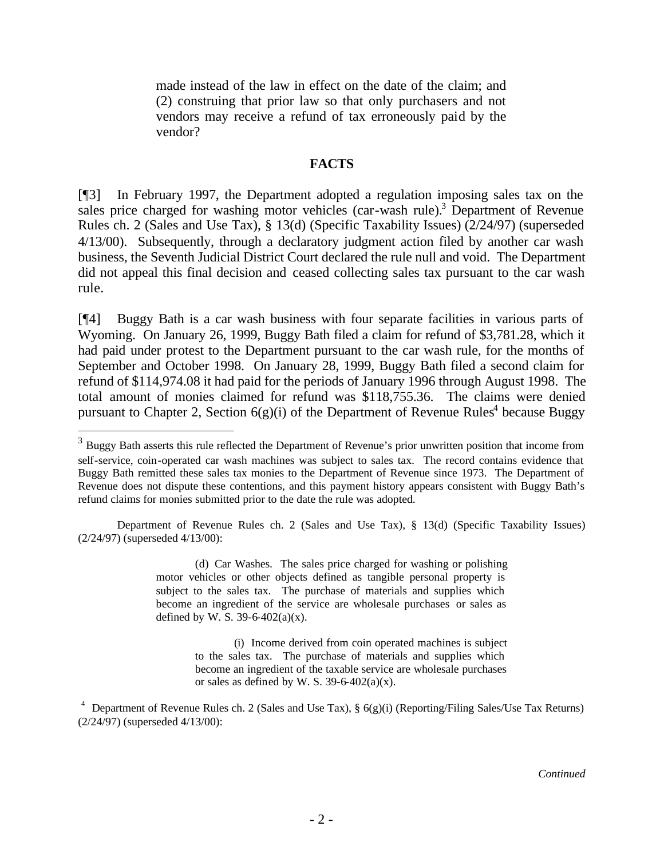made instead of the law in effect on the date of the claim; and (2) construing that prior law so that only purchasers and not vendors may receive a refund of tax erroneously paid by the vendor?

#### **FACTS**

[¶3] In February 1997, the Department adopted a regulation imposing sales tax on the sales price charged for washing motor vehicles (car-wash rule).<sup>3</sup> Department of Revenue Rules ch. 2 (Sales and Use Tax), § 13(d) (Specific Taxability Issues) (2/24/97) (superseded 4/13/00). Subsequently, through a declaratory judgment action filed by another car wash business, the Seventh Judicial District Court declared the rule null and void. The Department did not appeal this final decision and ceased collecting sales tax pursuant to the car wash rule.

[¶4] Buggy Bath is a car wash business with four separate facilities in various parts of Wyoming. On January 26, 1999, Buggy Bath filed a claim for refund of \$3,781.28, which it had paid under protest to the Department pursuant to the car wash rule, for the months of September and October 1998. On January 28, 1999, Buggy Bath filed a second claim for refund of \$114,974.08 it had paid for the periods of January 1996 through August 1998. The total amount of monies claimed for refund was \$118,755.36. The claims were denied pursuant to Chapter 2, Section  $6(g)(i)$  of the Department of Revenue Rules<sup>4</sup> because Buggy

l

(d) Car Washes. The sales price charged for washing or polishing motor vehicles or other objects defined as tangible personal property is subject to the sales tax. The purchase of materials and supplies which become an ingredient of the service are wholesale purchases or sales as defined by W. S. 39-6-402(a)(x).

> (i) Income derived from coin operated machines is subject to the sales tax. The purchase of materials and supplies which become an ingredient of the taxable service are wholesale purchases or sales as defined by W. S.  $39-6-402(a)(x)$ .

*Continued*

 $3$  Buggy Bath asserts this rule reflected the Department of Revenue's prior unwritten position that income from self-service, coin-operated car wash machines was subject to sales tax. The record contains evidence that Buggy Bath remitted these sales tax monies to the Department of Revenue since 1973. The Department of Revenue does not dispute these contentions, and this payment history appears consistent with Buggy Bath's refund claims for monies submitted prior to the date the rule was adopted.

Department of Revenue Rules ch. 2 (Sales and Use Tax), § 13(d) (Specific Taxability Issues) (2/24/97) (superseded 4/13/00):

<sup>&</sup>lt;sup>4</sup> Department of Revenue Rules ch. 2 (Sales and Use Tax),  $\S$  6(g)(i) (Reporting/Filing Sales/Use Tax Returns) (2/24/97) (superseded 4/13/00):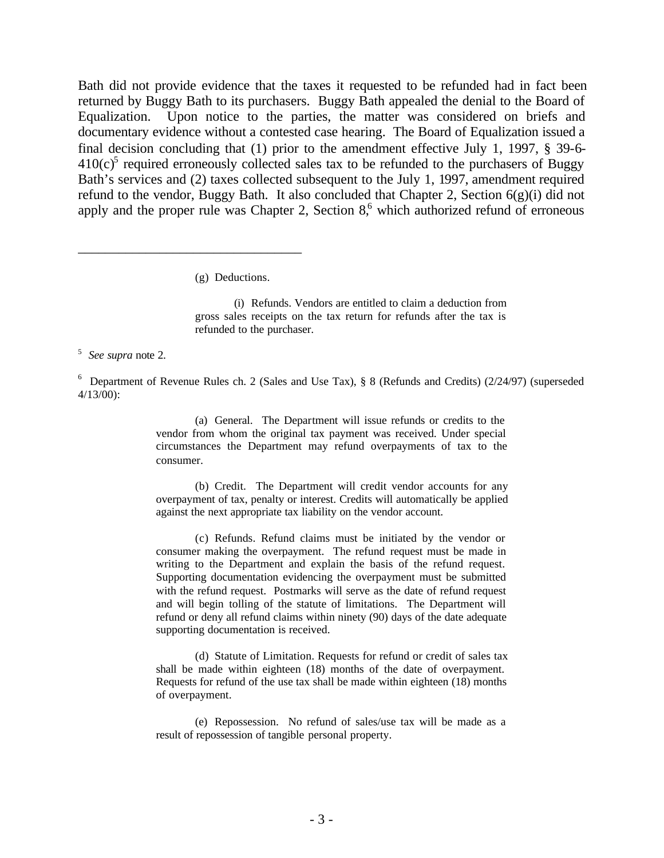Bath did not provide evidence that the taxes it requested to be refunded had in fact been returned by Buggy Bath to its purchasers. Buggy Bath appealed the denial to the Board of Equalization. Upon notice to the parties, the matter was considered on briefs and documentary evidence without a contested case hearing. The Board of Equalization issued a final decision concluding that (1) prior to the amendment effective July 1, 1997, § 39-6-  $410(c)$ <sup>5</sup> required erroneously collected sales tax to be refunded to the purchasers of Buggy Bath's services and (2) taxes collected subsequent to the July 1, 1997, amendment required refund to the vendor, Buggy Bath. It also concluded that Chapter 2, Section  $6(g)(i)$  did not apply and the proper rule was Chapter 2, Section  $8<sup>6</sup>$ , which authorized refund of erroneous

(g) Deductions.

\_\_\_\_\_\_\_\_\_\_\_\_\_\_\_\_\_\_\_\_\_\_\_\_\_\_\_\_\_\_\_\_\_

(i) Refunds. Vendors are entitled to claim a deduction from gross sales receipts on the tax return for refunds after the tax is refunded to the purchaser.

5 *See supra* note 2.

<sup>6</sup> Department of Revenue Rules ch. 2 (Sales and Use Tax), § 8 (Refunds and Credits) (2/24/97) (superseded 4/13/00):

> (a) General. The Department will issue refunds or credits to the vendor from whom the original tax payment was received. Under special circumstances the Department may refund overpayments of tax to the consumer.

> (b) Credit. The Department will credit vendor accounts for any overpayment of tax, penalty or interest. Credits will automatically be applied against the next appropriate tax liability on the vendor account.

> (c) Refunds. Refund claims must be initiated by the vendor or consumer making the overpayment. The refund request must be made in writing to the Department and explain the basis of the refund request. Supporting documentation evidencing the overpayment must be submitted with the refund request. Postmarks will serve as the date of refund request and will begin tolling of the statute of limitations. The Department will refund or deny all refund claims within ninety (90) days of the date adequate supporting documentation is received.

> (d) Statute of Limitation. Requests for refund or credit of sales tax shall be made within eighteen (18) months of the date of overpayment. Requests for refund of the use tax shall be made within eighteen (18) months of overpayment.

> (e) Repossession. No refund of sales/use tax will be made as a result of repossession of tangible personal property.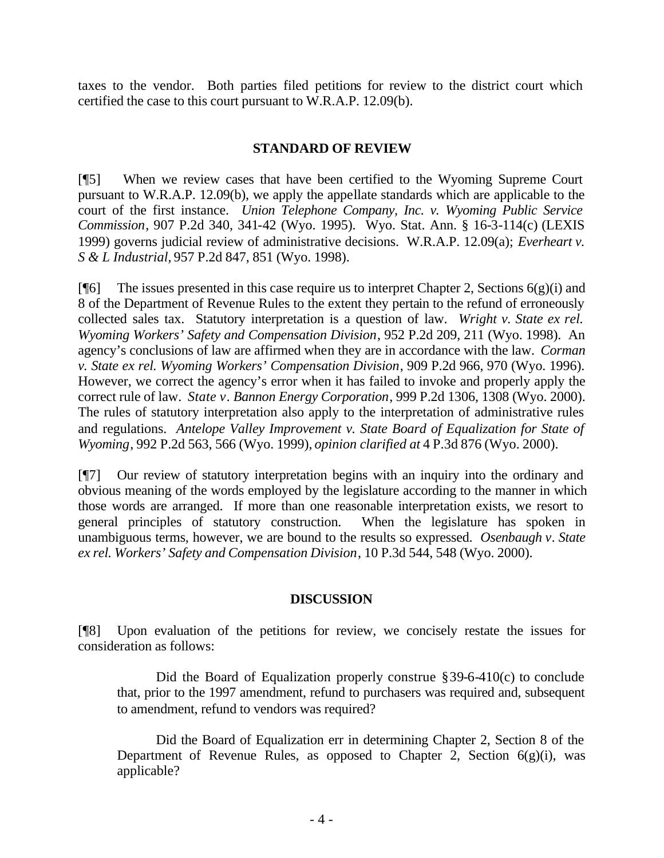taxes to the vendor. Both parties filed petitions for review to the district court which certified the case to this court pursuant to W.R.A.P. 12.09(b).

### **STANDARD OF REVIEW**

[¶5] When we review cases that have been certified to the Wyoming Supreme Court pursuant to W.R.A.P. 12.09(b), we apply the appellate standards which are applicable to the court of the first instance. *Union Telephone Company, Inc. v. Wyoming Public Service Commission*, 907 P.2d 340, 341-42 (Wyo. 1995). Wyo. Stat. Ann. § 16-3-114(c) (LEXIS 1999) governs judicial review of administrative decisions. W.R.A.P. 12.09(a); *Everheart v. S & L Industrial,* 957 P.2d 847, 851 (Wyo. 1998).

[ $[$ [6] The issues presented in this case require us to interpret Chapter 2, Sections 6(g)(i) and 8 of the Department of Revenue Rules to the extent they pertain to the refund of erroneously collected sales tax. Statutory interpretation is a question of law. *Wright v. State ex rel. Wyoming Workers' Safety and Compensation Division*, 952 P.2d 209, 211 (Wyo. 1998). An agency's conclusions of law are affirmed when they are in accordance with the law. *Corman v. State ex rel. Wyoming Workers' Compensation Division*, 909 P.2d 966, 970 (Wyo. 1996). However, we correct the agency's error when it has failed to invoke and properly apply the correct rule of law. *State v. Bannon Energy Corporation*, 999 P.2d 1306, 1308 (Wyo. 2000). The rules of statutory interpretation also apply to the interpretation of administrative rules and regulations. *Antelope Valley Improvement v. State Board of Equalization for State of Wyoming*, 992 P.2d 563, 566 (Wyo. 1999), *opinion clarified at* 4 P.3d 876 (Wyo. 2000).

[¶7] Our review of statutory interpretation begins with an inquiry into the ordinary and obvious meaning of the words employed by the legislature according to the manner in which those words are arranged. If more than one reasonable interpretation exists, we resort to general principles of statutory construction. When the legislature has spoken in unambiguous terms, however, we are bound to the results so expressed. *Osenbaugh v. State ex rel. Workers' Safety and Compensation Division*, 10 P.3d 544, 548 (Wyo. 2000).

### **DISCUSSION**

[¶8] Upon evaluation of the petitions for review, we concisely restate the issues for consideration as follows:

Did the Board of Equalization properly construe §39-6-410(c) to conclude that, prior to the 1997 amendment, refund to purchasers was required and, subsequent to amendment, refund to vendors was required?

Did the Board of Equalization err in determining Chapter 2, Section 8 of the Department of Revenue Rules, as opposed to Chapter 2, Section  $6(g)(i)$ , was applicable?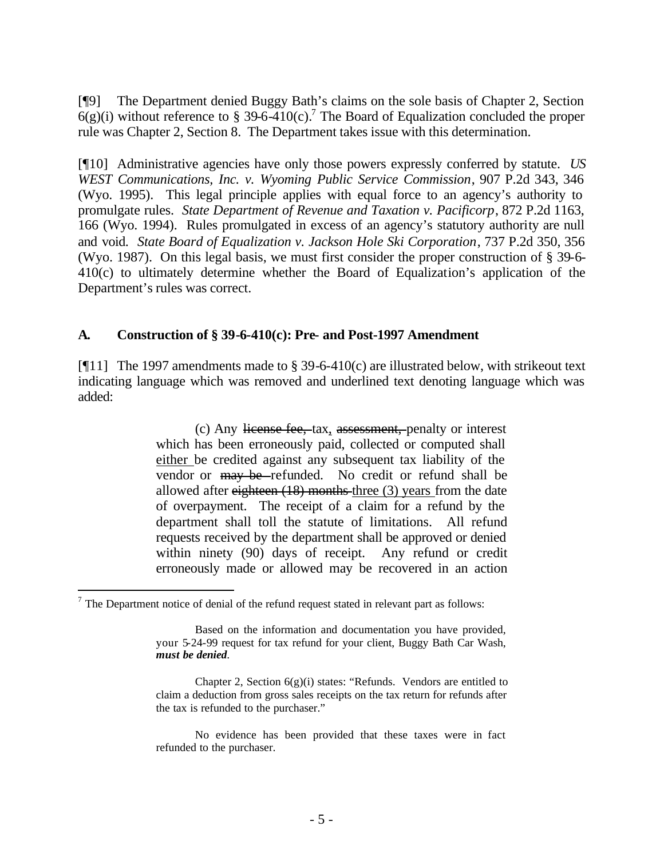[¶9] The Department denied Buggy Bath's claims on the sole basis of Chapter 2, Section  $6(g)(i)$  without reference to § 39-6-410(c).<sup>7</sup> The Board of Equalization concluded the proper rule was Chapter 2, Section 8. The Department takes issue with this determination.

[¶10] Administrative agencies have only those powers expressly conferred by statute. *US WEST Communications, Inc. v. Wyoming Public Service Commission*, 907 P.2d 343, 346 (Wyo. 1995). This legal principle applies with equal force to an agency's authority to promulgate rules. *State Department of Revenue and Taxation v. Pacificorp*, 872 P.2d 1163, 166 (Wyo. 1994). Rules promulgated in excess of an agency's statutory authority are null and void. *State Board of Equalization v. Jackson Hole Ski Corporation*, 737 P.2d 350, 356 (Wyo. 1987). On this legal basis, we must first consider the proper construction of § 39-6- 410(c) to ultimately determine whether the Board of Equalization's application of the Department's rules was correct.

#### **A. Construction of § 39-6-410(c): Pre- and Post-1997 Amendment**

[ $[11]$ ] The 1997 amendments made to § 39-6-410(c) are illustrated below, with strike out text indicating language which was removed and underlined text denoting language which was added:

> (c) Any license fee, tax, assessment, penalty or interest which has been erroneously paid, collected or computed shall either be credited against any subsequent tax liability of the vendor or may be refunded. No credit or refund shall be allowed after eighteen (18) months three (3) years from the date of overpayment. The receipt of a claim for a refund by the department shall toll the statute of limitations. All refund requests received by the department shall be approved or denied within ninety (90) days of receipt. Any refund or credit erroneously made or allowed may be recovered in an action

l

 $<sup>7</sup>$  The Department notice of denial of the refund request stated in relevant part as follows:</sup>

Based on the information and documentation you have provided, your 5-24-99 request for tax refund for your client, Buggy Bath Car Wash, *must be denied*.

Chapter 2, Section 6(g)(i) states: "Refunds. Vendors are entitled to claim a deduction from gross sales receipts on the tax return for refunds after the tax is refunded to the purchaser."

No evidence has been provided that these taxes were in fact refunded to the purchaser.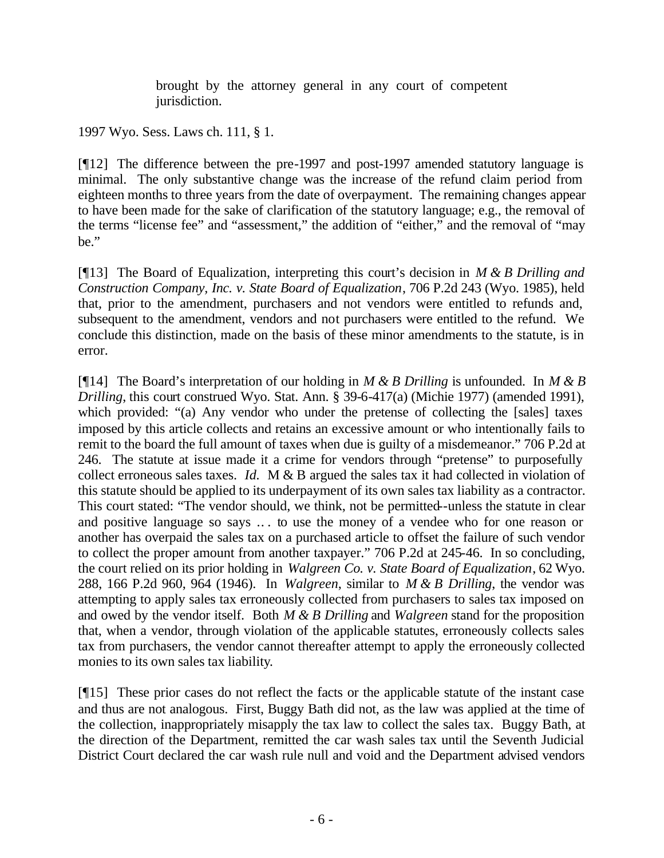brought by the attorney general in any court of competent jurisdiction.

1997 Wyo. Sess. Laws ch. 111, § 1.

[¶12] The difference between the pre-1997 and post-1997 amended statutory language is minimal. The only substantive change was the increase of the refund claim period from eighteen months to three years from the date of overpayment. The remaining changes appear to have been made for the sake of clarification of the statutory language; e.g., the removal of the terms "license fee" and "assessment," the addition of "either," and the removal of "may be."

[¶13] The Board of Equalization, interpreting this court's decision in *M & B Drilling and Construction Company, Inc. v. State Board of Equalization*, 706 P.2d 243 (Wyo. 1985), held that, prior to the amendment, purchasers and not vendors were entitled to refunds and, subsequent to the amendment, vendors and not purchasers were entitled to the refund. We conclude this distinction, made on the basis of these minor amendments to the statute, is in error.

[¶14] The Board's interpretation of our holding in *M & B Drilling* is unfounded. In *M & B Drilling*, this court construed Wyo. Stat. Ann. § 39-6-417(a) (Michie 1977) (amended 1991), which provided: "(a) Any vendor who under the pretense of collecting the [sales] taxes imposed by this article collects and retains an excessive amount or who intentionally fails to remit to the board the full amount of taxes when due is guilty of a misdemeanor." 706 P.2d at 246. The statute at issue made it a crime for vendors through "pretense" to purposefully collect erroneous sales taxes. *Id.* M & B argued the sales tax it had collected in violation of this statute should be applied to its underpayment of its own sales tax liability as a contractor. This court stated: "The vendor should, we think, not be permitted--unless the statute in clear and positive language so says .. . to use the money of a vendee who for one reason or another has overpaid the sales tax on a purchased article to offset the failure of such vendor to collect the proper amount from another taxpayer." 706 P.2d at 245-46. In so concluding, the court relied on its prior holding in *Walgreen Co. v. State Board of Equalization*, 62 Wyo. 288, 166 P.2d 960, 964 (1946). In *Walgreen*, similar to *M & B Drilling*, the vendor was attempting to apply sales tax erroneously collected from purchasers to sales tax imposed on and owed by the vendor itself. Both *M & B Drilling* and *Walgreen* stand for the proposition that, when a vendor, through violation of the applicable statutes, erroneously collects sales tax from purchasers, the vendor cannot thereafter attempt to apply the erroneously collected monies to its own sales tax liability*.*

[¶15] These prior cases do not reflect the facts or the applicable statute of the instant case and thus are not analogous. First, Buggy Bath did not, as the law was applied at the time of the collection, inappropriately misapply the tax law to collect the sales tax. Buggy Bath, at the direction of the Department, remitted the car wash sales tax until the Seventh Judicial District Court declared the car wash rule null and void and the Department advised vendors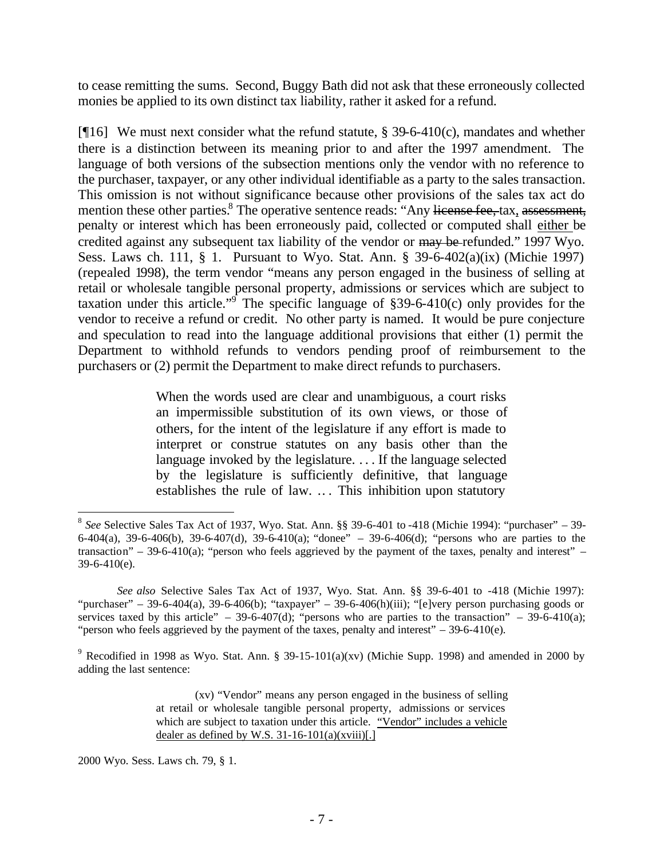to cease remitting the sums. Second, Buggy Bath did not ask that these erroneously collected monies be applied to its own distinct tax liability, rather it asked for a refund.

[ $[16]$  We must next consider what the refund statute, § 39-6-410(c), mandates and whether there is a distinction between its meaning prior to and after the 1997 amendment. The language of both versions of the subsection mentions only the vendor with no reference to the purchaser, taxpayer, or any other individual identifiable as a party to the sales transaction. This omission is not without significance because other provisions of the sales tax act do mention these other parties.<sup>8</sup> The operative sentence reads: "Any license fee, tax, assessment, penalty or interest which has been erroneously paid, collected or computed shall either be credited against any subsequent tax liability of the vendor or may be refunded." 1997 Wyo. Sess. Laws ch. 111, § 1. Pursuant to Wyo. Stat. Ann. § 39-6-402(a)(ix) (Michie 1997) (repealed 1998), the term vendor "means any person engaged in the business of selling at retail or wholesale tangible personal property, admissions or services which are subject to taxation under this article."<sup>9</sup> The specific language of §39-6-410(c) only provides for the vendor to receive a refund or credit. No other party is named. It would be pure conjecture and speculation to read into the language additional provisions that either (1) permit the Department to withhold refunds to vendors pending proof of reimbursement to the purchasers or (2) permit the Department to make direct refunds to purchasers.

> When the words used are clear and unambiguous, a court risks an impermissible substitution of its own views, or those of others, for the intent of the legislature if any effort is made to interpret or construe statutes on any basis other than the language invoked by the legislature. . . . If the language selected by the legislature is sufficiently definitive, that language establishes the rule of law. .. . This inhibition upon statutory

2000 Wyo. Sess. Laws ch. 79, § 1.

l 8 *See* Selective Sales Tax Act of 1937, Wyo. Stat. Ann. §§ 39-6-401 to -418 (Michie 1994): "purchaser" – 39- 6-404(a), 39-6-406(b), 39-6-407(d), 39-6-410(a); "donee" – 39-6-406(d); "persons who are parties to the transaction" – 39-6-410(a); "person who feels aggrieved by the payment of the taxes, penalty and interest" –  $39-6-410(e)$ .

*See also* Selective Sales Tax Act of 1937, Wyo. Stat. Ann. §§ 39-6-401 to -418 (Michie 1997): "purchaser" – 39-6-404(a), 39-6-406(b); "taxpayer" – 39-6-406(h)(iii); "[e]very person purchasing goods or services taxed by this article" – 39-6-407(d); "persons who are parties to the transaction" – 39-6-410(a); "person who feels aggrieved by the payment of the taxes, penalty and interest"  $-$  39-6-410(e).

<sup>&</sup>lt;sup>9</sup> Recodified in 1998 as Wyo. Stat. Ann. § 39-15-101(a)(xv) (Michie Supp. 1998) and amended in 2000 by adding the last sentence:

<sup>(</sup>xv) "Vendor" means any person engaged in the business of selling at retail or wholesale tangible personal property, admissions or services which are subject to taxation under this article. "Vendor" includes a vehicle dealer as defined by W.S.  $31-16-101(a)(xviii)$ [.]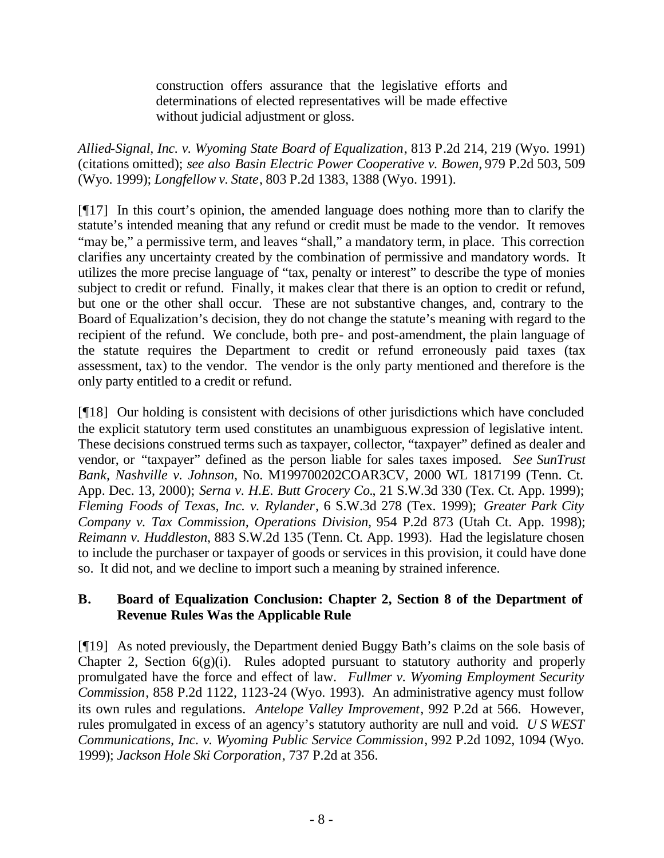construction offers assurance that the legislative efforts and determinations of elected representatives will be made effective without judicial adjustment or gloss.

*Allied-Signal, Inc. v. Wyoming State Board of Equalization*, 813 P.2d 214, 219 (Wyo. 1991) (citations omitted); *see also Basin Electric Power Cooperative v. Bowen,* 979 P.2d 503, 509 (Wyo. 1999); *Longfellow v. State*, 803 P.2d 1383, 1388 (Wyo. 1991).

[¶17] In this court's opinion, the amended language does nothing more than to clarify the statute's intended meaning that any refund or credit must be made to the vendor. It removes "may be," a permissive term, and leaves "shall," a mandatory term, in place. This correction clarifies any uncertainty created by the combination of permissive and mandatory words. It utilizes the more precise language of "tax, penalty or interest" to describe the type of monies subject to credit or refund. Finally, it makes clear that there is an option to credit or refund, but one or the other shall occur. These are not substantive changes, and, contrary to the Board of Equalization's decision, they do not change the statute's meaning with regard to the recipient of the refund. We conclude, both pre- and post-amendment, the plain language of the statute requires the Department to credit or refund erroneously paid taxes (tax assessment, tax) to the vendor. The vendor is the only party mentioned and therefore is the only party entitled to a credit or refund.

[¶18] Our holding is consistent with decisions of other jurisdictions which have concluded the explicit statutory term used constitutes an unambiguous expression of legislative intent. These decisions construed terms such as taxpayer, collector, "taxpayer" defined as dealer and vendor, or "taxpayer" defined as the person liable for sales taxes imposed. *See SunTrust Bank, Nashville v. Johnson*, No. M199700202COAR3CV, 2000 WL 1817199 (Tenn. Ct. App. Dec. 13, 2000); *Serna v. H.E. Butt Grocery Co.*, 21 S.W.3d 330 (Tex. Ct. App. 1999); *Fleming Foods of Texas, Inc. v. Rylander*, 6 S.W.3d 278 (Tex. 1999); *Greater Park City Company v. Tax Commission, Operations Division,* 954 P.2d 873 (Utah Ct. App. 1998); *Reimann v. Huddleston*, 883 S.W.2d 135 (Tenn. Ct. App. 1993). Had the legislature chosen to include the purchaser or taxpayer of goods or services in this provision, it could have done so. It did not, and we decline to import such a meaning by strained inference.

# **B. Board of Equalization Conclusion: Chapter 2, Section 8 of the Department of Revenue Rules Was the Applicable Rule**

[¶19] As noted previously, the Department denied Buggy Bath's claims on the sole basis of Chapter 2, Section  $6(g)(i)$ . Rules adopted pursuant to statutory authority and properly promulgated have the force and effect of law. *Fullmer v. Wyoming Employment Security Commission*, 858 P.2d 1122, 1123-24 (Wyo. 1993). An administrative agency must follow its own rules and regulations. *Antelope Valley Improvement*, 992 P.2d at 566. However, rules promulgated in excess of an agency's statutory authority are null and void. *U S WEST Communications, Inc. v. Wyoming Public Service Commission*, 992 P.2d 1092, 1094 (Wyo. 1999); *Jackson Hole Ski Corporation*, 737 P.2d at 356.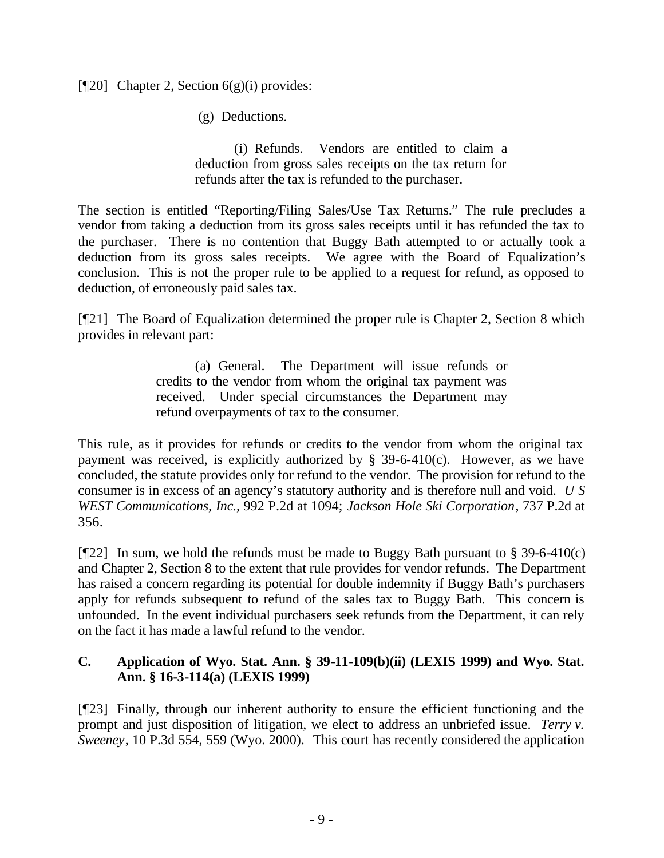### [ $[$ 20] Chapter 2, Section 6(g)(i) provides:

(g) Deductions.

(i) Refunds. Vendors are entitled to claim a deduction from gross sales receipts on the tax return for refunds after the tax is refunded to the purchaser.

The section is entitled "Reporting/Filing Sales/Use Tax Returns." The rule precludes a vendor from taking a deduction from its gross sales receipts until it has refunded the tax to the purchaser. There is no contention that Buggy Bath attempted to or actually took a deduction from its gross sales receipts. We agree with the Board of Equalization's conclusion. This is not the proper rule to be applied to a request for refund, as opposed to deduction, of erroneously paid sales tax.

[¶21] The Board of Equalization determined the proper rule is Chapter 2, Section 8 which provides in relevant part:

> (a) General. The Department will issue refunds or credits to the vendor from whom the original tax payment was received. Under special circumstances the Department may refund overpayments of tax to the consumer.

This rule, as it provides for refunds or credits to the vendor from whom the original tax payment was received, is explicitly authorized by  $\S$  39-6-410(c). However, as we have concluded, the statute provides only for refund to the vendor. The provision for refund to the consumer is in excess of an agency's statutory authority and is therefore null and void. *U S WEST Communications, Inc.,* 992 P.2d at 1094; *Jackson Hole Ski Corporation*, 737 P.2d at 356.

[ $[$ [22] In sum, we hold the refunds must be made to Buggy Bath pursuant to § 39-6-410(c) and Chapter 2, Section 8 to the extent that rule provides for vendor refunds. The Department has raised a concern regarding its potential for double indemnity if Buggy Bath's purchasers apply for refunds subsequent to refund of the sales tax to Buggy Bath. This concern is unfounded. In the event individual purchasers seek refunds from the Department, it can rely on the fact it has made a lawful refund to the vendor.

### **C. Application of Wyo. Stat. Ann. § 39-11-109(b)(ii) (LEXIS 1999) and Wyo. Stat. Ann. § 16-3-114(a) (LEXIS 1999)**

[¶23] Finally, through our inherent authority to ensure the efficient functioning and the prompt and just disposition of litigation, we elect to address an unbriefed issue. *Terry v. Sweeney*, 10 P.3d 554, 559 (Wyo. 2000). This court has recently considered the application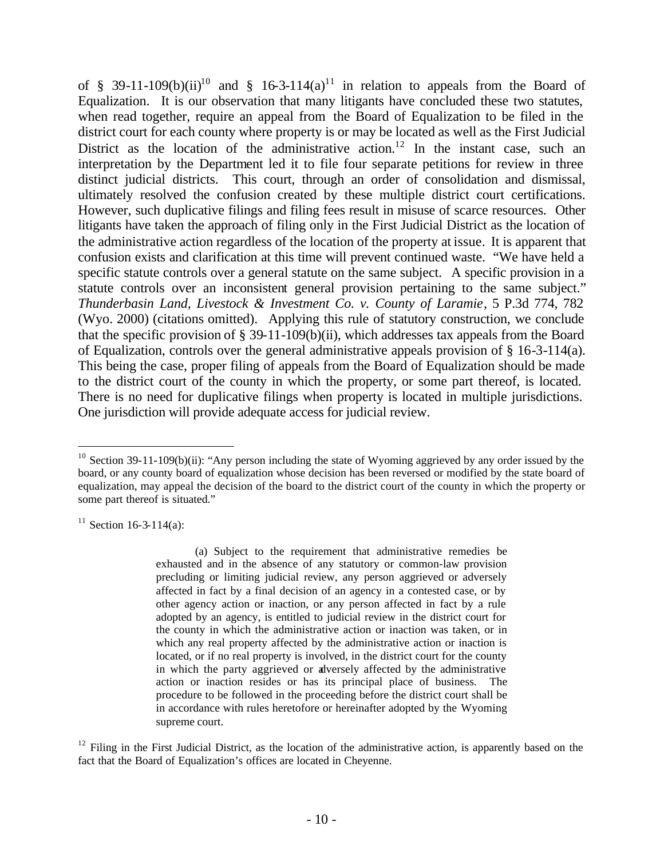of § 39-11-109(b)(ii)<sup>10</sup> and § 16-3-114(a)<sup>11</sup> in relation to appeals from the Board of Equalization.It is our observation that many litigants have concluded these two statutes, when read together, require an appeal from the Board of Equalization to be filed in the district court for each county where property is or may be located as well as the First Judicial District as the location of the administrative action.<sup>12</sup> In the instant case, such an interpretation by the Department led it to file four separate petitions for review in three distinct judicial districts. This court, through an order of consolidation and dismissal, ultimately resolved the confusion created by these multiple district court certifications. However, such duplicative filings and filing fees result in misuse of scarce resources. Other litigants have taken the approach of filing only in the First Judicial District as the location of the administrative action regardless of the location of the property at issue.It is apparent that confusion exists and clarification at this time will prevent continued waste. "We have held a specific statute controls over a general statute on the same subject. A specific provision in a statute controls over an inconsistent general provision pertaining to the same subject." *Thunderbasin Land, Livestock & Investment Co. v. County of Laramie*, 5 P.3d 774, 782 (Wyo. 2000) (citations omitted). Applying this rule of statutory construction, we conclude that the specific provision of § 39-11-109(b)(ii), which addresses tax appeals from the Board of Equalization, controls over the general administrative appeals provision of § 16-3-114(a). This being the case, proper filing of appeals from the Board of Equalization should be made to the district court of the county in which the property, or some part thereof, is located. There is no need for duplicative filings when property is located in multiple jurisdictions. One jurisdiction will provide adequate access for judicial review.

 $11$  Section 16-3-114(a):

l

(a) Subject to the requirement that administrative remedies be exhausted and in the absence of any statutory or common-law provision precluding or limiting judicial review, any person aggrieved or adversely affected in fact by a final decision of an agency in a contested case, or by other agency action or inaction, or any person affected in fact by a rule adopted by an agency, is entitled to judicial review in the district court for the county in which the administrative action or inaction was taken, or in which any real property affected by the administrative action or inaction is located, or if no real property is involved, in the district court for the county in which the party aggrieved or adversely affected by the administrative action or inaction resides or has its principal place of business. The procedure to be followed in the proceeding before the district court shall be in accordance with rules heretofore or hereinafter adopted by the Wyoming supreme court.

 $12$  Filing in the First Judicial District, as the location of the administrative action, is apparently based on the fact that the Board of Equalization's offices are located in Cheyenne.

<sup>&</sup>lt;sup>10</sup> Section 39-11-109(b)(ii): "Any person including the state of Wyoming aggrieved by any order issued by the board, or any county board of equalization whose decision has been reversed or modified by the state board of equalization, may appeal the decision of the board to the district court of the county in which the property or some part thereof is situated."